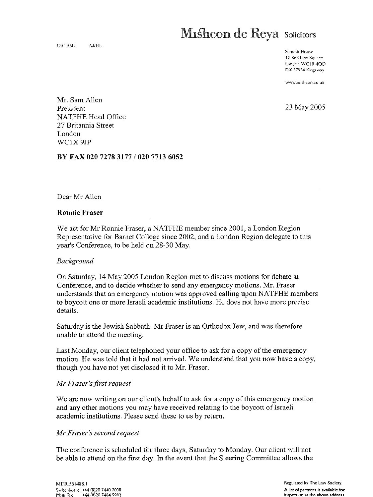# **Mishcon de Reya** Solicitors

Our Ref: AJ/6L

Summit House 12 Red Lion Square London WCIR 4QD DX 37954 Kingsway

www.mishcon.co .u k

23 May 2005

**Mr. Sam Allen President** NATFHE **Head Of**fi**ce 27 Britannia Street**  $\frac{2}{\pi}$  DIRe WCIX 9JP

BY FAX 020 7278 3177 / 020 7713 6052

#### **Ronnie Fraser**

We act for Mr Ronnie Fraser, a NATFHE member since 2001, a London Region Representative for Barnet College since 2002, and a London Region delegate to this year's Conference, to be held on 28-30 May.

## $D_{\mathcal{U}}$  Saturday, 14 May 2005 London Region met to discuss motions for discuss motions for debate at  $\mathcal{U}$

On Saturday, 14 May 2005 London Region met to discuss motions for debate at Conference, and to decide whether to send any emergency motions. Mr. Fraser understands that an emergency motion was approved calling upon NATFHE members. to boycott one or more Israeli academic institutions. He does not have more precise  $S<sub>1</sub>$  is the Jewish Sabbath Sabbath Sabbath Sabbath . Mr Fraser is an Orthodox Jew, and was therefore  $S<sub>2</sub>$  is an order of  $S<sub>1</sub>$  and was the  $S<sub>2</sub>$  and was the  $S<sub>1</sub>$  and was the  $S<sub>2</sub>$  and was

Saturday is the Jewish Sabbath. Mr Fraser is an Orthodox Jew, and was therefore unable to attend the meeting.

motion. He was told that it had not arrived that you now had not arrived  $\alpha$ Last Monday, our chent telephoned your office to though you have not yet disclosed it to Mr. Fraser.

#### Mr Fraser's first request

We are now writing on our client's behalf to ask for a copy of this emergency motion and any other motions you may have received relating to the boycott of Israeli academic institutions. Please send these to us by return.

#### Mr Fraser's second request be able to attend on the first day . In the event that the Steering Committee allows th e

The conference is scheduled for three days, Saturday to Monday. Our client will not be able to attend on the first day. In the event that the Steering Committee allows the

MDR.561488.1 Switchboard: +44 (0)20 7440 7000 Main Fax: +44 (0)20 7404 5982 Regulated by The Law Society. A list of partners is available for inspection at the above address.